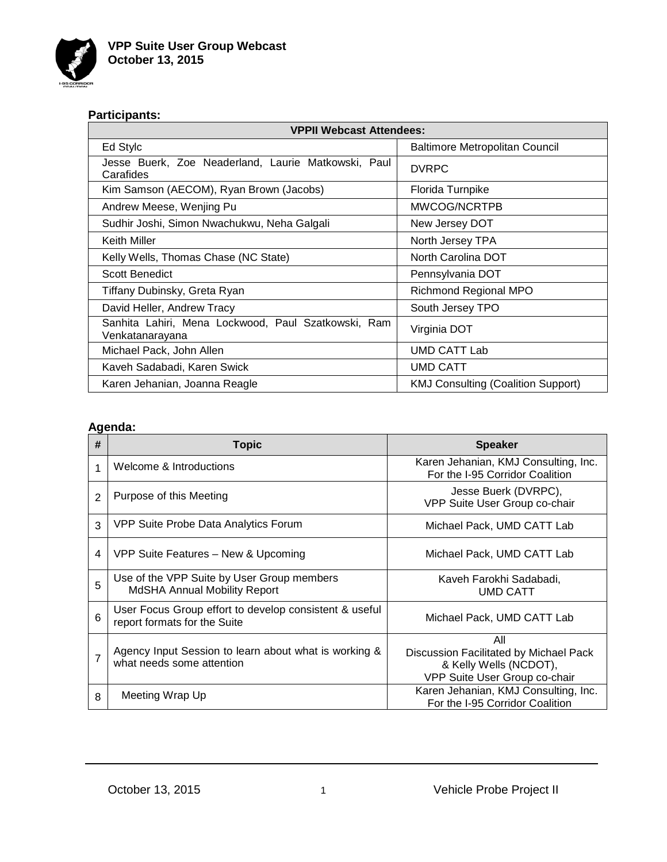

# **Participants:**

| <b>VPPII Webcast Attendees:</b>                                        |                                           |  |
|------------------------------------------------------------------------|-------------------------------------------|--|
| Ed Stylc                                                               | Baltimore Metropolitan Council            |  |
| Jesse Buerk, Zoe Neaderland, Laurie Matkowski, Paul<br>Carafides       | <b>DVRPC</b>                              |  |
| Kim Samson (AECOM), Ryan Brown (Jacobs)                                | Florida Turnpike                          |  |
| Andrew Meese, Wenjing Pu                                               | MWCOG/NCRTPB                              |  |
| Sudhir Joshi, Simon Nwachukwu, Neha Galgali                            | New Jersey DOT                            |  |
| Keith Miller                                                           | North Jersey TPA                          |  |
| Kelly Wells, Thomas Chase (NC State)                                   | North Carolina DOT                        |  |
| <b>Scott Benedict</b>                                                  | Pennsylvania DOT                          |  |
| Tiffany Dubinsky, Greta Ryan                                           | <b>Richmond Regional MPO</b>              |  |
| David Heller, Andrew Tracy                                             | South Jersey TPO                          |  |
| Sanhita Lahiri, Mena Lockwood, Paul Szatkowski, Ram<br>Venkatanarayana | Virginia DOT                              |  |
| Michael Pack, John Allen                                               | UMD CATT Lab                              |  |
| Kaveh Sadabadi, Karen Swick                                            | <b>UMD CATT</b>                           |  |
| Karen Jehanian, Joanna Reagle                                          | <b>KMJ Consulting (Coalition Support)</b> |  |

# **Agenda:**

| #              | <b>Topic</b>                                                                           | <b>Speaker</b>                                                                                           |
|----------------|----------------------------------------------------------------------------------------|----------------------------------------------------------------------------------------------------------|
| 1              | Welcome & Introductions                                                                | Karen Jehanian, KMJ Consulting, Inc.<br>For the I-95 Corridor Coalition                                  |
| $\overline{2}$ | Purpose of this Meeting                                                                | Jesse Buerk (DVRPC),<br>VPP Suite User Group co-chair                                                    |
| 3              | VPP Suite Probe Data Analytics Forum                                                   | Michael Pack, UMD CATT Lab                                                                               |
| 4              | VPP Suite Features – New & Upcoming                                                    | Michael Pack, UMD CATT Lab                                                                               |
| 5              | Use of the VPP Suite by User Group members<br>MdSHA Annual Mobility Report             | Kaveh Farokhi Sadabadi,<br><b>UMD CATT</b>                                                               |
| 6              | User Focus Group effort to develop consistent & useful<br>report formats for the Suite | Michael Pack, UMD CATT Lab                                                                               |
| 7              | Agency Input Session to learn about what is working &<br>what needs some attention     | All<br>Discussion Facilitated by Michael Pack<br>& Kelly Wells (NCDOT),<br>VPP Suite User Group co-chair |
| 8              | Meeting Wrap Up                                                                        | Karen Jehanian, KMJ Consulting, Inc.<br>For the I-95 Corridor Coalition                                  |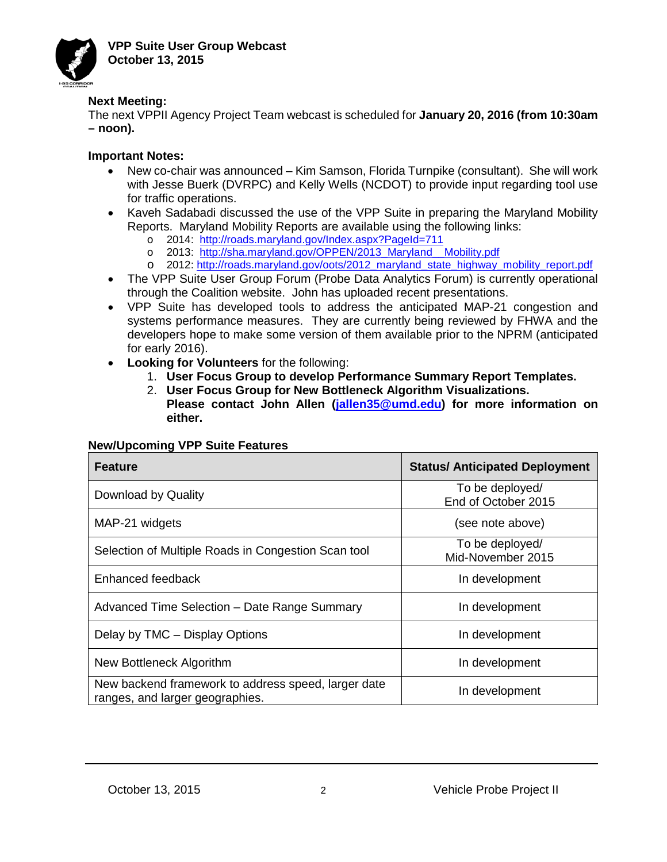

## **Next Meeting:**

The next VPPII Agency Project Team webcast is scheduled for **January 20, 2016 (from 10:30am – noon).**

## **Important Notes:**

- New co-chair was announced Kim Samson, Florida Turnpike (consultant). She will work with Jesse Buerk (DVRPC) and Kelly Wells (NCDOT) to provide input regarding tool use for traffic operations.
- Kaveh Sadabadi discussed the use of the VPP Suite in preparing the Maryland Mobility Reports. Maryland Mobility Reports are available using the following links:
	- o 2014: <http://roads.maryland.gov/Index.aspx?PageId=711>
	- o <mark>2013: <u>http://sha.maryland.gov/OPPEN/2013 Maryland Mobility.pdf</u></mark>
	- o 2012: <u>http://roads.maryland.gov/oots/2012\_maryland\_state\_highway\_mobility\_report.pdf</u>
- The VPP Suite User Group Forum (Probe Data Analytics Forum) is currently operational through the Coalition website. John has uploaded recent presentations.
- VPP Suite has developed tools to address the anticipated MAP-21 congestion and systems performance measures. They are currently being reviewed by FHWA and the developers hope to make some version of them available prior to the NPRM (anticipated for early 2016).
- **Looking for Volunteers** for the following:
	- 1. **User Focus Group to develop Performance Summary Report Templates.**
	- 2. **User Focus Group for New Bottleneck Algorithm Visualizations.**
	- **Please contact John Allen [\(jallen35@umd.edu\)](mailto:jallen35@umd.edu) for more information on either.**

### **New/Upcoming VPP Suite Features**

| <b>Feature</b>                                                                         | <b>Status/ Anticipated Deployment</b>  |
|----------------------------------------------------------------------------------------|----------------------------------------|
| Download by Quality                                                                    | To be deployed/<br>End of October 2015 |
| MAP-21 widgets                                                                         | (see note above)                       |
| Selection of Multiple Roads in Congestion Scan tool                                    | To be deployed/<br>Mid-November 2015   |
| Enhanced feedback                                                                      | In development                         |
| Advanced Time Selection - Date Range Summary                                           | In development                         |
| Delay by TMC - Display Options                                                         | In development                         |
| New Bottleneck Algorithm                                                               | In development                         |
| New backend framework to address speed, larger date<br>ranges, and larger geographies. | In development                         |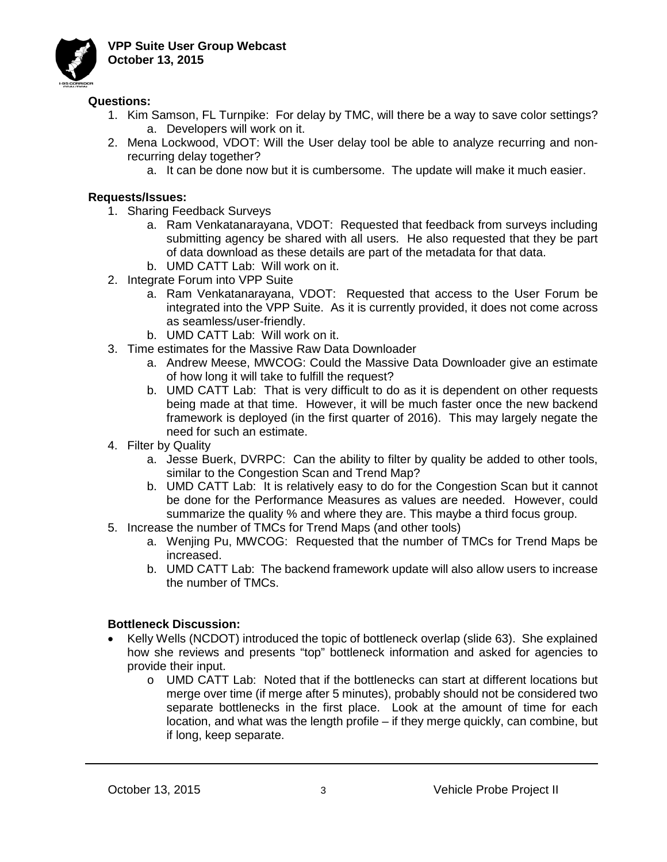

#### **Questions:**

- 1. Kim Samson, FL Turnpike: For delay by TMC, will there be a way to save color settings? a. Developers will work on it.
- 2. Mena Lockwood, VDOT: Will the User delay tool be able to analyze recurring and nonrecurring delay together?
	- a. It can be done now but it is cumbersome. The update will make it much easier.

#### **Requests/Issues:**

- 1. Sharing Feedback Surveys
	- a. Ram Venkatanarayana, VDOT: Requested that feedback from surveys including submitting agency be shared with all users. He also requested that they be part of data download as these details are part of the metadata for that data.
	- b. UMD CATT Lab: Will work on it.
- 2. Integrate Forum into VPP Suite
	- a. Ram Venkatanarayana, VDOT: Requested that access to the User Forum be integrated into the VPP Suite. As it is currently provided, it does not come across as seamless/user-friendly.
	- b. UMD CATT Lab: Will work on it.
- 3. Time estimates for the Massive Raw Data Downloader
	- a. Andrew Meese, MWCOG: Could the Massive Data Downloader give an estimate of how long it will take to fulfill the request?
	- b. UMD CATT Lab: That is very difficult to do as it is dependent on other requests being made at that time. However, it will be much faster once the new backend framework is deployed (in the first quarter of 2016). This may largely negate the need for such an estimate.
- 4. Filter by Quality
	- a. Jesse Buerk, DVRPC: Can the ability to filter by quality be added to other tools, similar to the Congestion Scan and Trend Map?
	- b. UMD CATT Lab: It is relatively easy to do for the Congestion Scan but it cannot be done for the Performance Measures as values are needed. However, could summarize the quality % and where they are. This maybe a third focus group.
- 5. Increase the number of TMCs for Trend Maps (and other tools)
	- a. Wenjing Pu, MWCOG: Requested that the number of TMCs for Trend Maps be increased.
	- b. UMD CATT Lab: The backend framework update will also allow users to increase the number of TMCs.

### **Bottleneck Discussion:**

- Kelly Wells (NCDOT) introduced the topic of bottleneck overlap (slide 63). She explained how she reviews and presents "top" bottleneck information and asked for agencies to provide their input.
	- o UMD CATT Lab: Noted that if the bottlenecks can start at different locations but merge over time (if merge after 5 minutes), probably should not be considered two separate bottlenecks in the first place. Look at the amount of time for each location, and what was the length profile – if they merge quickly, can combine, but if long, keep separate.